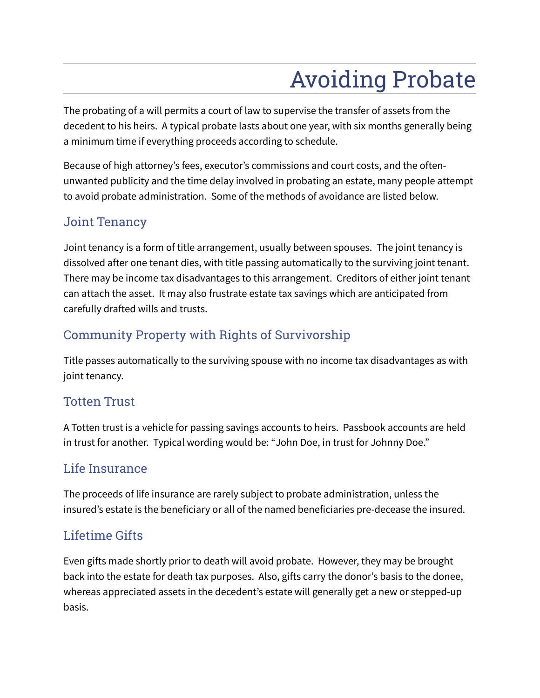# Avoiding Probate

The probating of a will permits a court of law to supervise the transfer of assets from the decedent to his heirs. A typical probate lasts about one year, with six months generally being a minimum time if everything proceeds according to schedule.

Because of high attorney's fees, executor's commissions and court costs, and the oftenunwanted publicity and the time delay involved in probating an estate, many people attempt to avoid probate administration. Some of the methods of avoidance are listed below.

#### Joint Tenancy

Joint tenancy is a form of title arrangement, usually between spouses. The joint tenancy is dissolved after one tenant dies, with title passing automatically to the surviving joint tenant. There may be income tax disadvantages to this arrangement. Creditors of either joint tenant can attach the asset. It may also frustrate estate tax savings which are anticipated from carefully drafted wills and trusts.

# Community Property with Rights of Survivorship

Title passes automatically to the surviving spouse with no income tax disadvantages as with joint tenancy.

#### Totten Trust

A Totten trust is a vehicle for passing savings accounts to heirs. Passbook accounts are held in trust for another. Typical wording would be: "John Doe, in trust for Johnny Doe."

### Life Insurance

The proceeds of life insurance are rarely subject to probate administration, unless the insured's estate is the beneficiary or all of the named beneficiaries pre-decease the insured.

### Lifetime Gifts

Even gifts made shortly prior to death will avoid probate. However, they may be brought back into the estate for death tax purposes. Also, gifts carry the donor's basis to the donee, whereas appreciated assets in the decedent's estate will generally get a new or stepped-up basis.